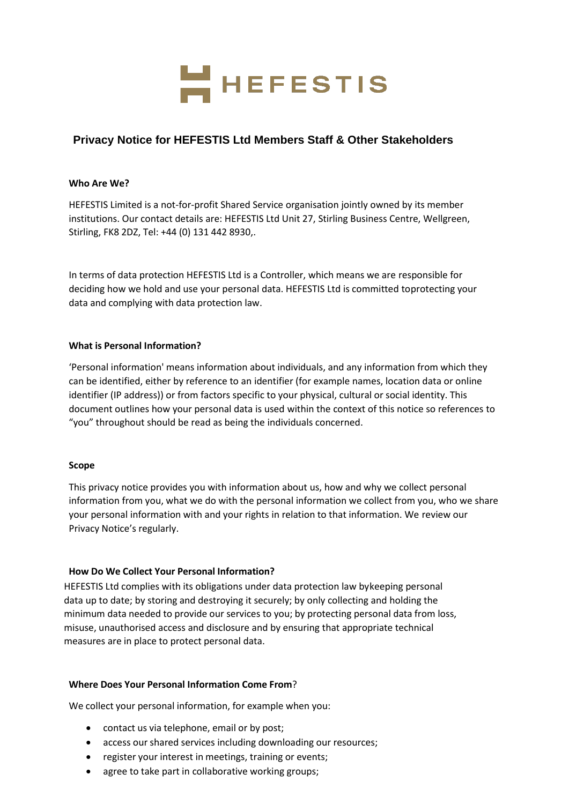

# **Privacy Notice for HEFESTIS Ltd Members Staff & Other Stakeholders**

### **Who Are We?**

HEFESTIS Limited is a not-for-profit Shared Service organisation jointly owned by its member institutions. Our contact details are: HEFESTIS Ltd Unit 27, Stirling Business Centre, Wellgreen, Stirling, FK8 2DZ, Tel: +44 (0) 131 442 8930,.

In terms of data protection HEFESTIS Ltd is a Controller, which means we are responsible for deciding how we hold and use your personal data. HEFESTIS Ltd is committed toprotecting your data and complying with data protection law.

### **What is Personal Information?**

'Personal information' means information about individuals, and any information from which they can be identified, either by reference to an identifier (for example names, location data or online identifier (IP address)) or from factors specific to your physical, cultural or social identity. This document outlines how your personal data is used within the context of this notice so references to "you" throughout should be read as being the individuals concerned.

### **Scope**

This privacy notice provides you with information about us, how and why we collect personal information from you, what we do with the personal information we collect from you, who we share your personal information with and your rights in relation to that information. We review our Privacy Notice's regularly.

### **How Do We Collect Your Personal Information?**

HEFESTIS Ltd complies with its obligations under data protection law bykeeping personal data up to date; by storing and destroying it securely; by only collecting and holding the minimum data needed to provide our services to you; by protecting personal data from loss, misuse, unauthorised access and disclosure and by ensuring that appropriate technical measures are in place to protect personal data.

### **Where Does Your Personal Information Come From**?

We collect your personal information, for example when you:

- contact us via telephone, email or by post;
- access our shared services including downloading our resources;
- register your interest in meetings, training or events;
- agree to take part in collaborative working groups;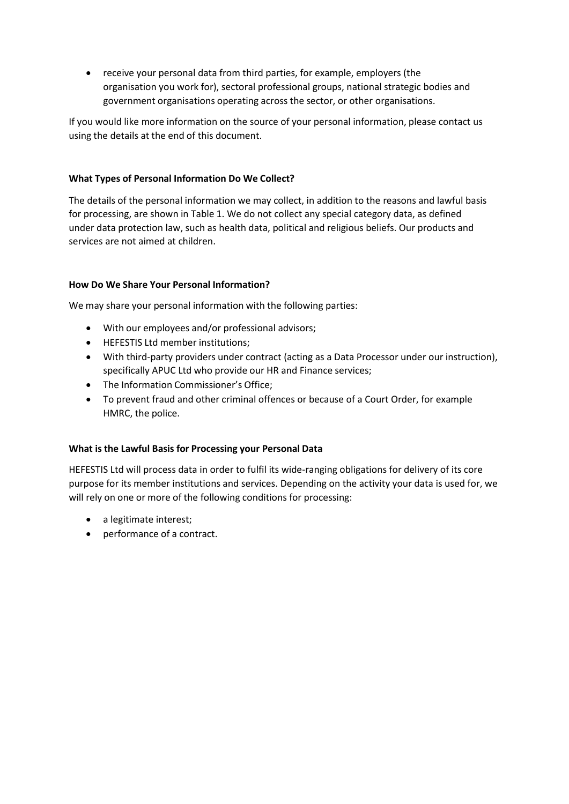• receive your personal data from third parties, for example, employers (the organisation you work for), sectoral professional groups, national strategic bodies and government organisations operating across the sector, or other organisations.

If you would like more information on the source of your personal information, please contact us using the details at the end of this document.

# **What Types of Personal Information Do We Collect?**

The details of the personal information we may collect, in addition to the reasons and lawful basis for processing, are shown in Table 1. We do not collect any special category data, as defined under data protection law, such as health data, political and religious beliefs. Our products and services are not aimed at children.

# **How Do We Share Your Personal Information?**

We may share your personal information with the following parties:

- With our employees and/or professional advisors;
- HEFESTIS Ltd member institutions;
- With third-party providers under contract (acting as a Data Processor under our instruction), specifically [APUC](http://apuc-scot.ac.uk/) Ltd who provide our HR and Finance services;
- The Information Commissioner's Office;
- To prevent fraud and other criminal offences or because of a Court Order, for example HMRC, the police.

# **What is the Lawful Basis for Processing your Personal Data**

HEFESTIS Ltd will process data in order to fulfil its wide-ranging obligations for delivery of its core purpose for its member institutions and services. Depending on the activity your data is used for, we will rely on one or more of the following conditions for processing:

- a legitimate interest;
- performance of a contract.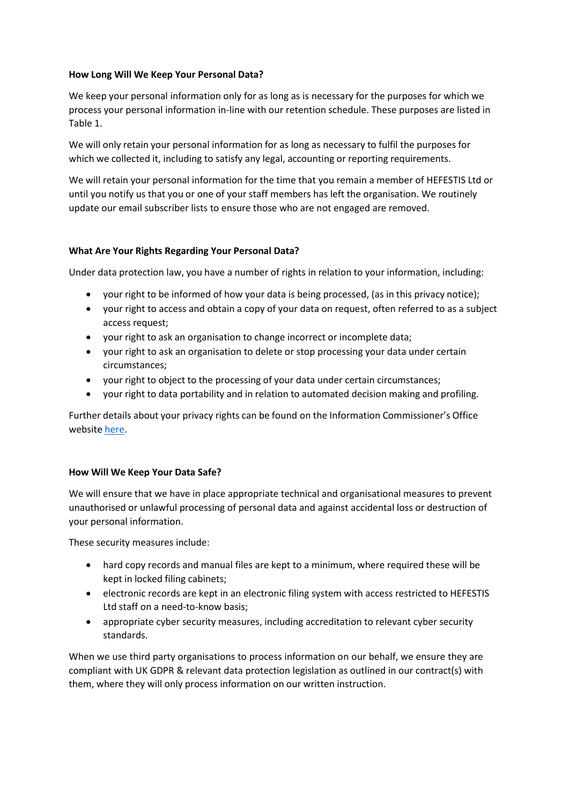### **How Long Will We Keep Your Personal Data?**

We keep your personal information only for as long as is necessary for the purposes for which we process your personal information in-line with our retention schedule. These purposes are listed in Table 1.

We will only retain your personal information for as long as necessary to fulfil the purposes for which we collected it, including to satisfy any legal, accounting or reporting requirements.

We will retain your personal information for the time that you remain a member of HEFESTIS Ltd or until you notify us that you or one of your staff members has left the organisation. We routinely update our email subscriber lists to ensure those who are not engaged are removed.

### **What Are Your Rights Regarding Your Personal Data?**

Under data protection law, you have a number of rights in relation to your information, including:

- your right to be informed of how your data is being processed, (as in this privacy notice);
- your right to access and obtain a copy of your data on request, often referred to as a subject access request;
- your right to ask an organisation to change incorrect or incomplete data;
- your right to ask an organisation to delete or stop processing your data under certain circumstances;
- your right to object to the processing of your data under certain circumstances;
- your right to data portability and in relation to automated decision making and profiling.

Further details about your privacy rights can be found on the Information Commissioner's Office websit[e here.](https://ico.org.uk/your-data-matters/)

### **How Will We Keep Your Data Safe?**

We will ensure that we have in place appropriate technical and organisational measures to prevent unauthorised or unlawful processing of personal data and against accidental loss or destruction of your personal information.

These security measures include:

- hard copy records and manual files are kept to a minimum, where required these will be kept in locked filing cabinets;
- electronic records are kept in an electronic filing system with access restricted to HEFESTIS Ltd staff on a need-to-know basis;
- appropriate cyber security measures, including accreditation to relevant cyber security standards.

When we use third party organisations to process information on our behalf, we ensure they are compliant with UK GDPR & relevant data protection legislation as outlined in our contract(s) with them, where they will only process information on our written instruction.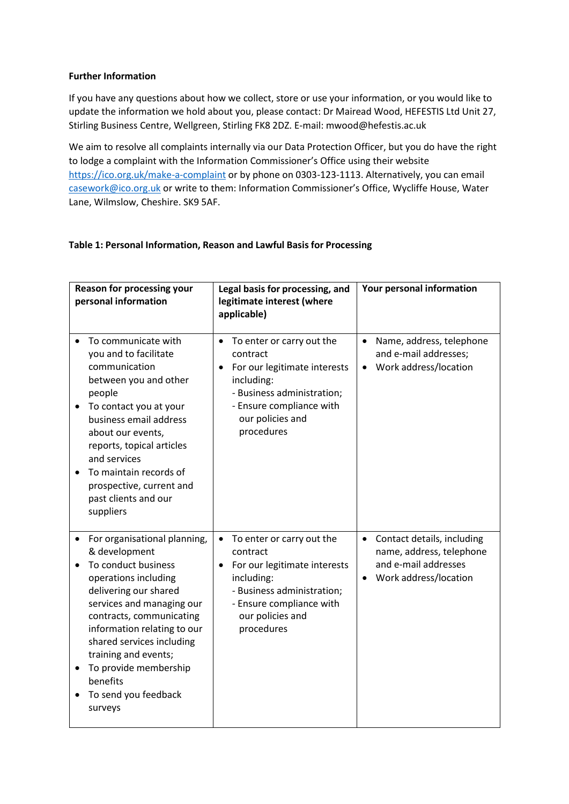### **Further Information**

If you have any questions about how we collect, store or use your information, or you would like to update the information we hold about you, please contact: Dr Mairead Wood, HEFESTIS Ltd Unit 27, Stirling Business Centre, Wellgreen, Stirling FK8 2DZ. E-mail: [mwood@hefestis.ac.uk](mailto:mwood@hefestis.ac.uk)

We aim to resolve all complaints internally via our Data Protection Officer, but you do have the right to lodge a complaint with the Information Commissioner's Office using their website <https://ico.org.uk/make-a-complaint> or by phone on 0303-123-1113. Alternatively, you can email [casework@ico.org.uk](mailto:casework@ico.org.uk) or write to them: Information Commissioner's Office, Wycliffe House, Water Lane, Wilmslow, Cheshire. SK9 5AF.

# **Table 1: Personal Information, Reason and Lawful Basis for Processing**

| <b>Reason for processing your</b><br>personal information                                                                                                                                                                                                                                                                                                            | Legal basis for processing, and<br>legitimate interest (where<br>applicable)                                                                                                                              | Your personal information                                                                                            |
|----------------------------------------------------------------------------------------------------------------------------------------------------------------------------------------------------------------------------------------------------------------------------------------------------------------------------------------------------------------------|-----------------------------------------------------------------------------------------------------------------------------------------------------------------------------------------------------------|----------------------------------------------------------------------------------------------------------------------|
| To communicate with<br>you and to facilitate<br>communication<br>between you and other<br>people<br>To contact you at your<br>$\bullet$<br>business email address<br>about our events,<br>reports, topical articles<br>and services<br>To maintain records of<br>prospective, current and<br>past clients and our<br>suppliers                                       | To enter or carry out the<br>$\bullet$<br>contract<br>For our legitimate interests<br>$\bullet$<br>including:<br>- Business administration;<br>- Ensure compliance with<br>our policies and<br>procedures | Name, address, telephone<br>$\bullet$<br>and e-mail addresses;<br>• Work address/location                            |
| For organisational planning,<br>& development<br>To conduct business<br>operations including<br>delivering our shared<br>services and managing our<br>contracts, communicating<br>information relating to our<br>shared services including<br>training and events;<br>To provide membership<br>$\bullet$<br>benefits<br>To send you feedback<br>$\bullet$<br>surveys | To enter or carry out the<br>$\bullet$<br>contract<br>For our legitimate interests<br>$\bullet$<br>including:<br>- Business administration;<br>- Ensure compliance with<br>our policies and<br>procedures | Contact details, including<br>$\bullet$<br>name, address, telephone<br>and e-mail addresses<br>Work address/location |